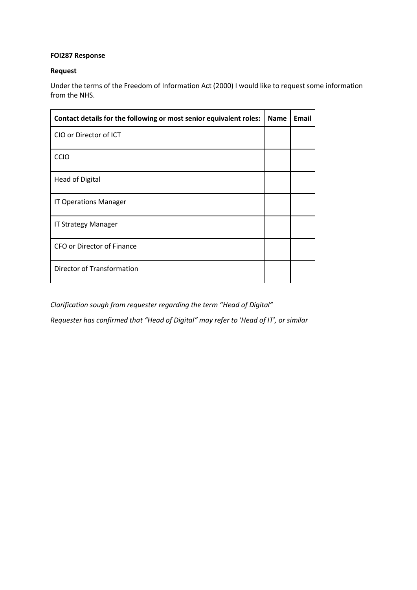# **FOI287 Response**

## **Request**

Under the terms of the Freedom of Information Act (2000) I would like to request some information from the NHS.

| Contact details for the following or most senior equivalent roles: | <b>Name</b> | Email |
|--------------------------------------------------------------------|-------------|-------|
| CIO or Director of ICT                                             |             |       |
| CCIO                                                               |             |       |
| <b>Head of Digital</b>                                             |             |       |
| <b>IT Operations Manager</b>                                       |             |       |
| IT Strategy Manager                                                |             |       |
| CFO or Director of Finance                                         |             |       |
| Director of Transformation                                         |             |       |

*Clarification sough from requester regarding the term "Head of Digital"* 

*Requester has confirmed that "Head of Digital" may refer to 'Head of IT', or similar*